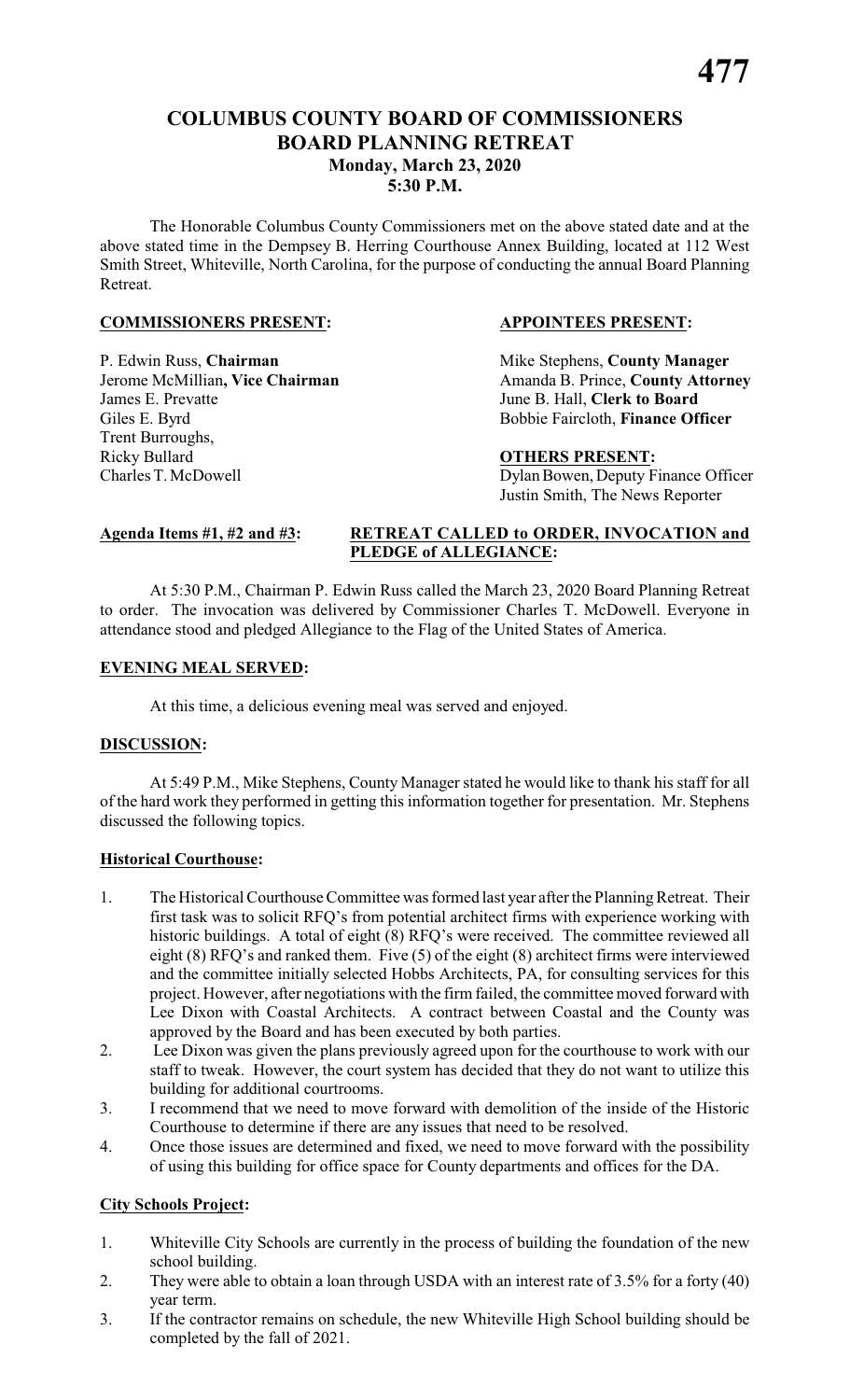## **COLUMBUS COUNTY BOARD OF COMMISSIONERS BOARD PLANNING RETREAT Monday, March 23, 2020 5:30 P.M.**

The Honorable Columbus County Commissioners met on the above stated date and at the above stated time in the Dempsey B. Herring Courthouse Annex Building, located at 112 West Smith Street, Whiteville, North Carolina, for the purpose of conducting the annual Board Planning Retreat.

### **COMMISSIONERS PRESENT: APPOINTEES PRESENT:**

P. Edwin Russ, **Chairman** Mike Stephens, **County Manager** James E. Prevatte June B. Hall, **Clerk to Board** Giles E. Byrd Bobbie Faircloth, **Finance Officer** Trent Burroughs, Ricky Bullard **OTHERS PRESENT:** Charles T. McDowell Dylan Bowen, Deputy Finance Officer

Jerome McMillian, Vice Chairman Amanda B. Prince, County Attorney

Justin Smith, The News Reporter

### **Agenda Items #1, #2 and #3: RETREAT CALLED to ORDER, INVOCATION and PLEDGE of ALLEGIANCE:**

At 5:30 P.M., Chairman P. Edwin Russ called the March 23, 2020 Board Planning Retreat to order. The invocation was delivered by Commissioner Charles T. McDowell. Everyone in attendance stood and pledged Allegiance to the Flag of the United States of America.

### **EVENING MEAL SERVED:**

At this time, a delicious evening meal was served and enjoyed.

### **DISCUSSION:**

At 5:49 P.M., Mike Stephens, County Manager stated he would like to thank his staff for all of the hard work they performed in getting this information together for presentation. Mr. Stephens discussed the following topics.

### **Historical Courthouse:**

- 1. The Historical Courthouse Committee was formed last year after the Planning Retreat. Their first task was to solicit RFQ's from potential architect firms with experience working with historic buildings. A total of eight (8) RFQ's were received. The committee reviewed all eight (8) RFQ's and ranked them. Five (5) of the eight (8) architect firms were interviewed and the committee initially selected Hobbs Architects, PA, for consulting services for this project. However, after negotiations with the firm failed, the committee moved forward with Lee Dixon with Coastal Architects. A contract between Coastal and the County was approved by the Board and has been executed by both parties.
- 2. Lee Dixon was given the plans previously agreed upon for the courthouse to work with our staff to tweak. However, the court system has decided that they do not want to utilize this building for additional courtrooms.
- 3. I recommend that we need to move forward with demolition of the inside of the Historic Courthouse to determine if there are any issues that need to be resolved.
- 4. Once those issues are determined and fixed, we need to move forward with the possibility of using this building for office space for County departments and offices for the DA.

### **City Schools Project:**

- 1. Whiteville City Schools are currently in the process of building the foundation of the new school building.
- 2. They were able to obtain a loan through USDA with an interest rate of 3.5% for a forty (40) year term.
- 3. If the contractor remains on schedule, the new Whiteville High School building should be completed by the fall of 2021.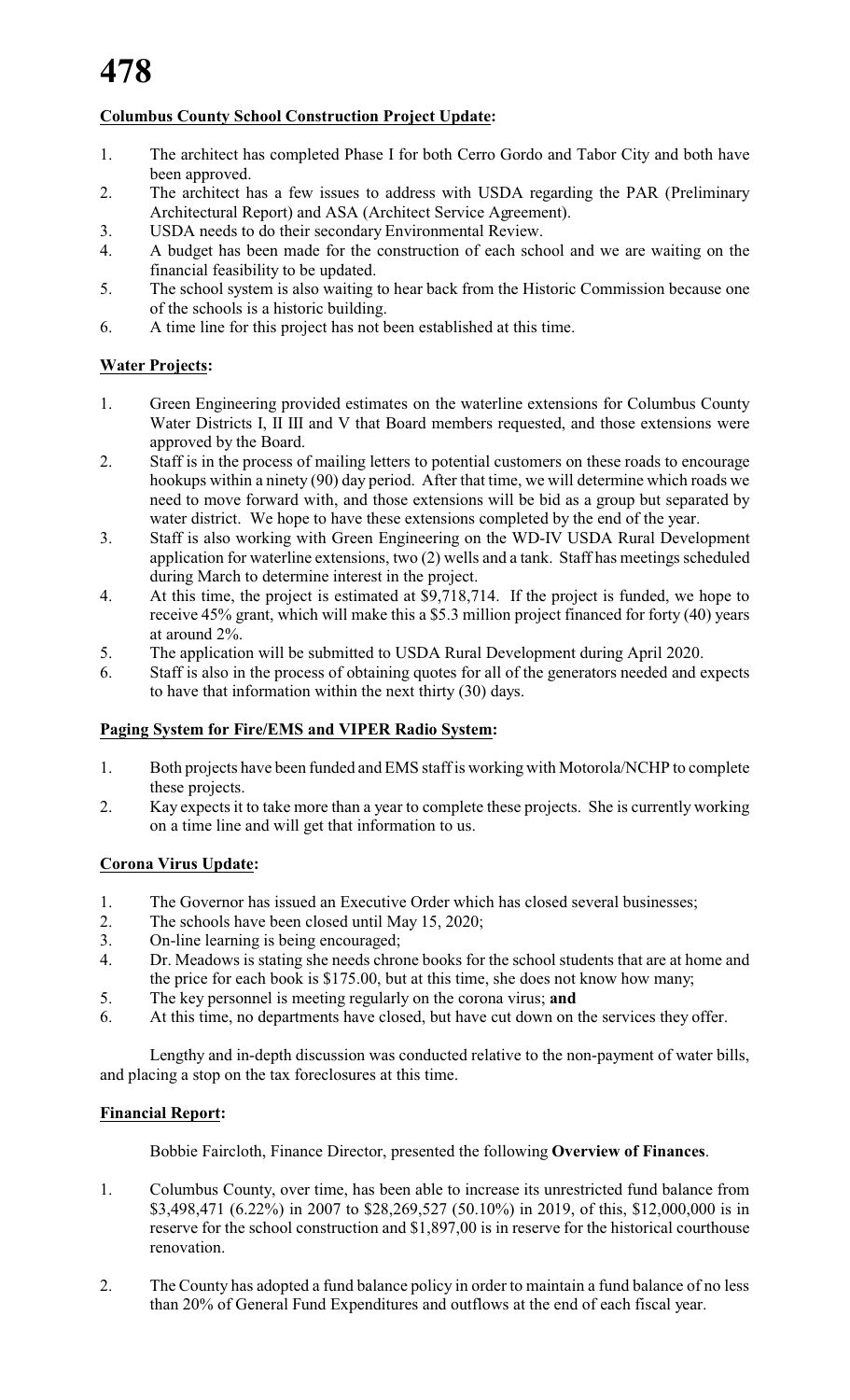### **Columbus County School Construction Project Update:**

- 1. The architect has completed Phase I for both Cerro Gordo and Tabor City and both have been approved.
- 2. The architect has a few issues to address with USDA regarding the PAR (Preliminary Architectural Report) and ASA (Architect Service Agreement).
- 3. USDA needs to do their secondary Environmental Review.
- 4. A budget has been made for the construction of each school and we are waiting on the financial feasibility to be updated.
- 5. The school system is also waiting to hear back from the Historic Commission because one of the schools is a historic building.
- 6. A time line for this project has not been established at this time.

### **Water Projects:**

- 1. Green Engineering provided estimates on the waterline extensions for Columbus County Water Districts I, II III and V that Board members requested, and those extensions were approved by the Board.
- 2. Staff is in the process of mailing letters to potential customers on these roads to encourage hookups within a ninety (90) day period. After that time, we will determine which roads we need to move forward with, and those extensions will be bid as a group but separated by water district. We hope to have these extensions completed by the end of the year.
- 3. Staff is also working with Green Engineering on the WD-IV USDA Rural Development application for waterline extensions, two (2) wells and a tank. Staff has meetings scheduled during March to determine interest in the project.
- 4. At this time, the project is estimated at \$9,718,714. If the project is funded, we hope to receive 45% grant, which will make this a \$5.3 million project financed for forty (40) years at around 2%.
- 5. The application will be submitted to USDA Rural Development during April 2020.
- 6. Staff is also in the process of obtaining quotes for all of the generators needed and expects to have that information within the next thirty (30) days.

### **Paging System for Fire/EMS and VIPER Radio System:**

- 1. Both projects have been funded and EMS staff is working with Motorola/NCHP to complete these projects.
- 2. Kay expects it to take more than a year to complete these projects. She is currently working on a time line and will get that information to us.

### **Corona Virus Update:**

- 1. The Governor has issued an Executive Order which has closed several businesses;<br>2. The schools have been closed until May 15, 2020:
- The schools have been closed until May 15, 2020;
- 3. On-line learning is being encouraged;
- 4. Dr. Meadows is stating she needs chrone books for the school students that are at home and the price for each book is \$175.00, but at this time, she does not know how many;
- 5. The key personnel is meeting regularly on the corona virus; **and**
- 6. At this time, no departments have closed, but have cut down on the services they offer.

Lengthy and in-depth discussion was conducted relative to the non-payment of water bills, and placing a stop on the tax foreclosures at this time.

### **Financial Report:**

Bobbie Faircloth, Finance Director, presented the following **Overview of Finances**.

- 1. Columbus County, over time, has been able to increase its unrestricted fund balance from \$3,498,471 (6.22%) in 2007 to \$28,269,527 (50.10%) in 2019, of this, \$12,000,000 is in reserve for the school construction and \$1,897,00 is in reserve for the historical courthouse renovation.
- 2. The County has adopted a fund balance policy in order to maintain a fund balance of no less than 20% of General Fund Expenditures and outflows at the end of each fiscal year.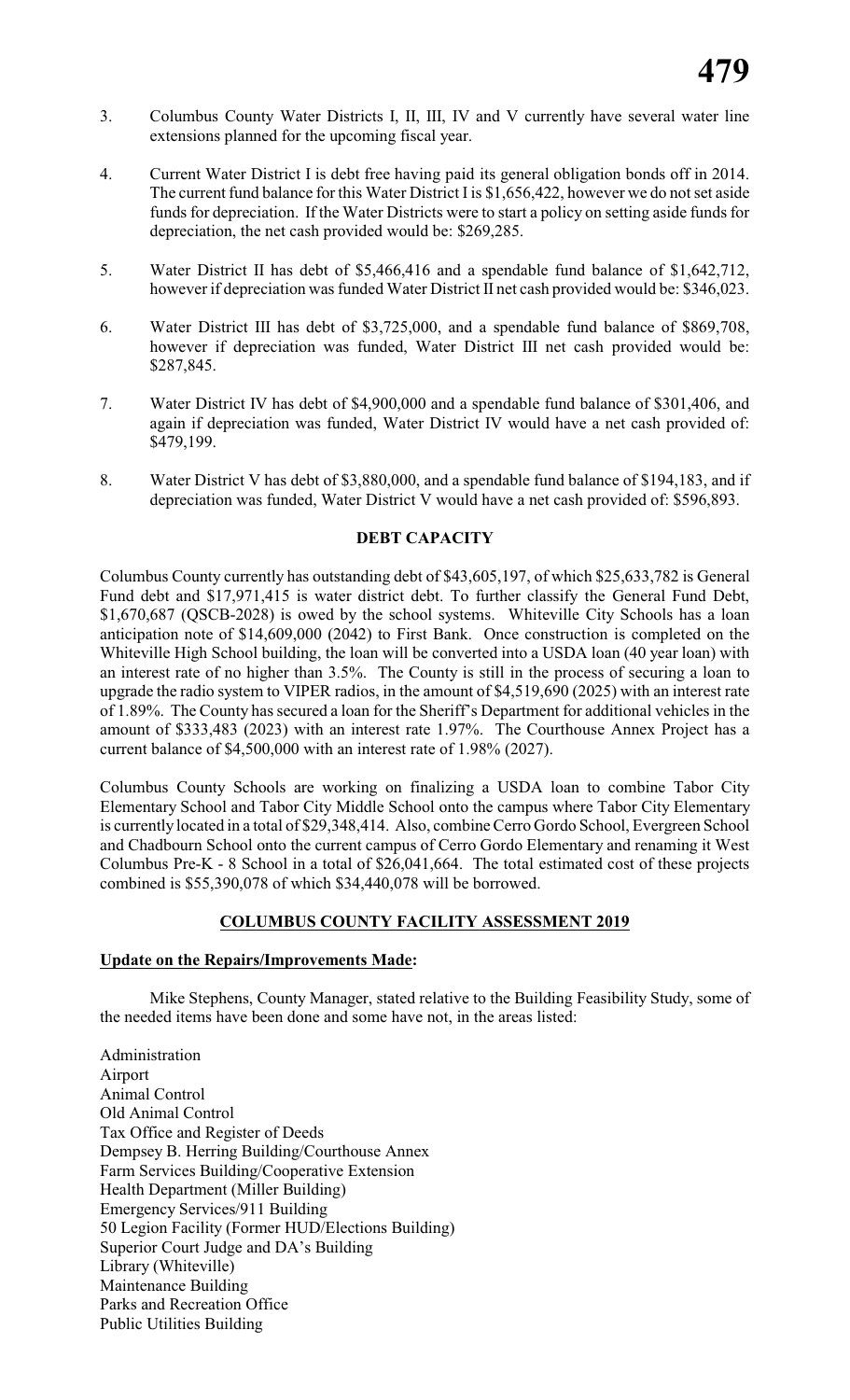- 3. Columbus County Water Districts I, II, III, IV and V currently have several water line extensions planned for the upcoming fiscal year.
- 4. Current Water District I is debt free having paid its general obligation bonds off in 2014. The current fund balance for this Water District I is \$1,656,422, however we do not set aside funds for depreciation. If the Water Districts were to start a policy on setting aside funds for depreciation, the net cash provided would be: \$269,285.
- 5. Water District II has debt of \$5,466,416 and a spendable fund balance of \$1,642,712, however if depreciation was funded Water District II net cash provided would be: \$346,023.
- 6. Water District III has debt of \$3,725,000, and a spendable fund balance of \$869,708, however if depreciation was funded, Water District III net cash provided would be: \$287,845.
- 7. Water District IV has debt of \$4,900,000 and a spendable fund balance of \$301,406, and again if depreciation was funded, Water District IV would have a net cash provided of: \$479,199.
- 8. Water District V has debt of \$3,880,000, and a spendable fund balance of \$194,183, and if depreciation was funded, Water District V would have a net cash provided of: \$596,893.

### **DEBT CAPACITY**

Columbus County currently has outstanding debt of \$43,605,197, of which \$25,633,782 is General Fund debt and \$17,971,415 is water district debt. To further classify the General Fund Debt, \$1,670,687 (QSCB-2028) is owed by the school systems. Whiteville City Schools has a loan anticipation note of \$14,609,000 (2042) to First Bank. Once construction is completed on the Whiteville High School building, the loan will be converted into a USDA loan (40 year loan) with an interest rate of no higher than 3.5%. The County is still in the process of securing a loan to upgrade the radio system to VIPER radios, in the amount of \$4,519,690 (2025) with an interest rate of 1.89%. The County has secured a loan for the Sheriff's Department for additional vehicles in the amount of \$333,483 (2023) with an interest rate 1.97%. The Courthouse Annex Project has a current balance of \$4,500,000 with an interest rate of 1.98% (2027).

Columbus County Schools are working on finalizing a USDA loan to combine Tabor City Elementary School and Tabor City Middle School onto the campus where Tabor City Elementary is currently located in a total of \$29,348,414. Also, combine Cerro Gordo School, Evergreen School and Chadbourn School onto the current campus of Cerro Gordo Elementary and renaming it West Columbus Pre-K - 8 School in a total of \$26,041,664. The total estimated cost of these projects combined is \$55,390,078 of which \$34,440,078 will be borrowed.

### **COLUMBUS COUNTY FACILITY ASSESSMENT 2019**

### **Update on the Repairs/Improvements Made:**

Mike Stephens, County Manager, stated relative to the Building Feasibility Study, some of the needed items have been done and some have not, in the areas listed:

Administration Airport Animal Control Old Animal Control Tax Office and Register of Deeds Dempsey B. Herring Building/Courthouse Annex Farm Services Building/Cooperative Extension Health Department (Miller Building) Emergency Services/911 Building 50 Legion Facility (Former HUD/Elections Building) Superior Court Judge and DA's Building Library (Whiteville) Maintenance Building Parks and Recreation Office Public Utilities Building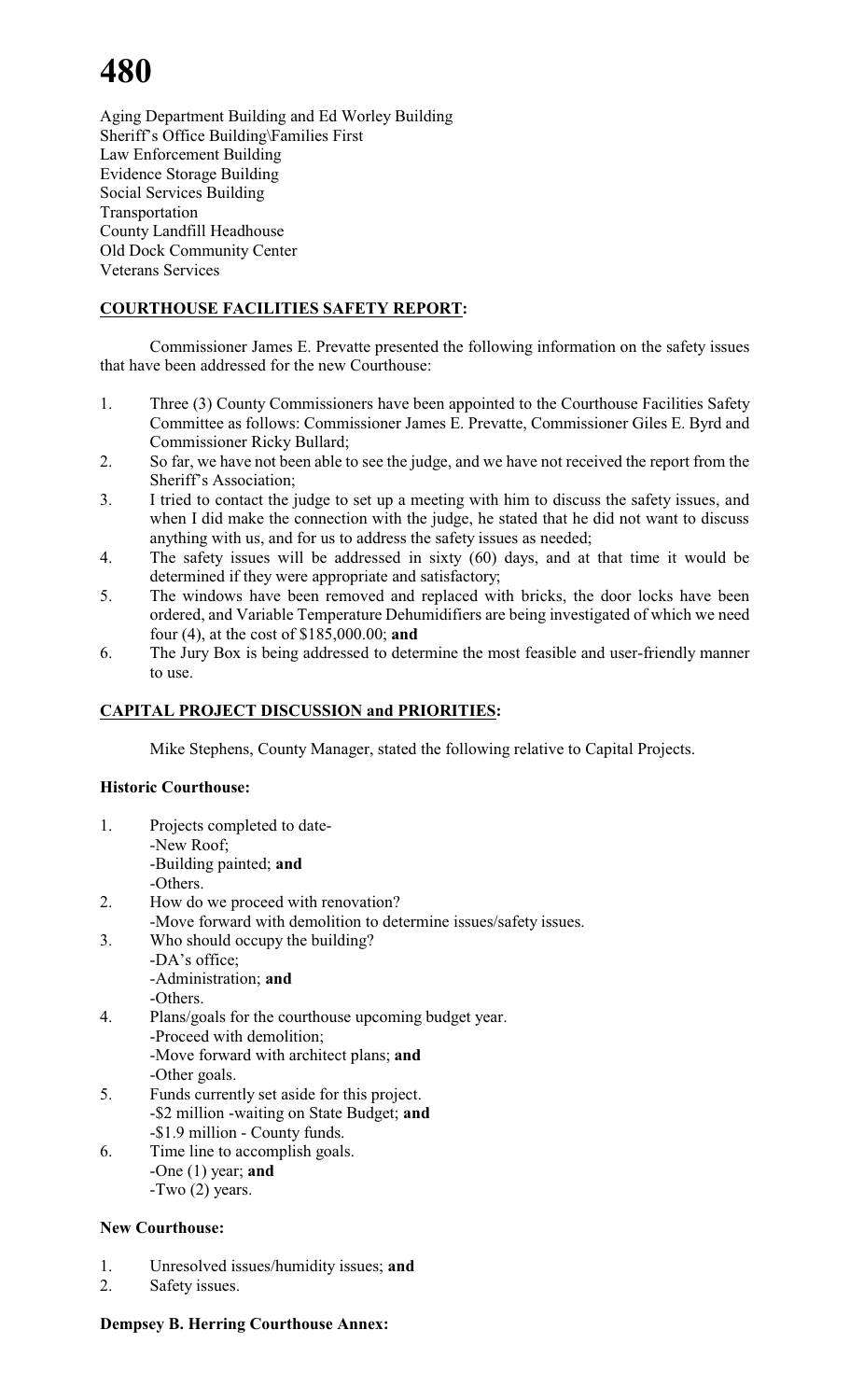# **480**

Aging Department Building and Ed Worley Building Sheriff's Office Building\Families First Law Enforcement Building Evidence Storage Building Social Services Building Transportation County Landfill Headhouse Old Dock Community Center Veterans Services

### **COURTHOUSE FACILITIES SAFETY REPORT:**

Commissioner James E. Prevatte presented the following information on the safety issues that have been addressed for the new Courthouse:

- 1. Three (3) County Commissioners have been appointed to the Courthouse Facilities Safety Committee as follows: Commissioner James E. Prevatte, Commissioner Giles E. Byrd and Commissioner Ricky Bullard;
- 2. So far, we have not been able to see the judge, and we have not received the report from the Sheriff's Association;
- 3. I tried to contact the judge to set up a meeting with him to discuss the safety issues, and when I did make the connection with the judge, he stated that he did not want to discuss anything with us, and for us to address the safety issues as needed;
- 4. The safety issues will be addressed in sixty (60) days, and at that time it would be determined if they were appropriate and satisfactory;
- 5. The windows have been removed and replaced with bricks, the door locks have been ordered, and Variable Temperature Dehumidifiers are being investigated of which we need four (4), at the cost of \$185,000.00; **and**
- 6. The Jury Box is being addressed to determine the most feasible and user-friendly manner to use.

### **CAPITAL PROJECT DISCUSSION and PRIORITIES:**

Mike Stephens, County Manager, stated the following relative to Capital Projects.

### **Historic Courthouse:**

1. Projects completed to date- -New Roof;

-Building painted; **and**

-Others.

- 2. How do we proceed with renovation?
	- -Move forward with demolition to determine issues/safety issues.
- 3. Who should occupy the building?
	- -DA's office;

-Administration; **and**

-Others.

- 4. Plans/goals for the courthouse upcoming budget year. -Proceed with demolition; -Move forward with architect plans; **and** -Other goals.
- 5. Funds currently set aside for this project. -\$2 million -waiting on State Budget; **and** -\$1.9 million - County funds.
- 6. Time line to accomplish goals. -One (1) year; **and** -Two (2) years.

## **New Courthouse:**

- 1. Unresolved issues/humidity issues; **and**
- 2. Safety issues.

### **Dempsey B. Herring Courthouse Annex:**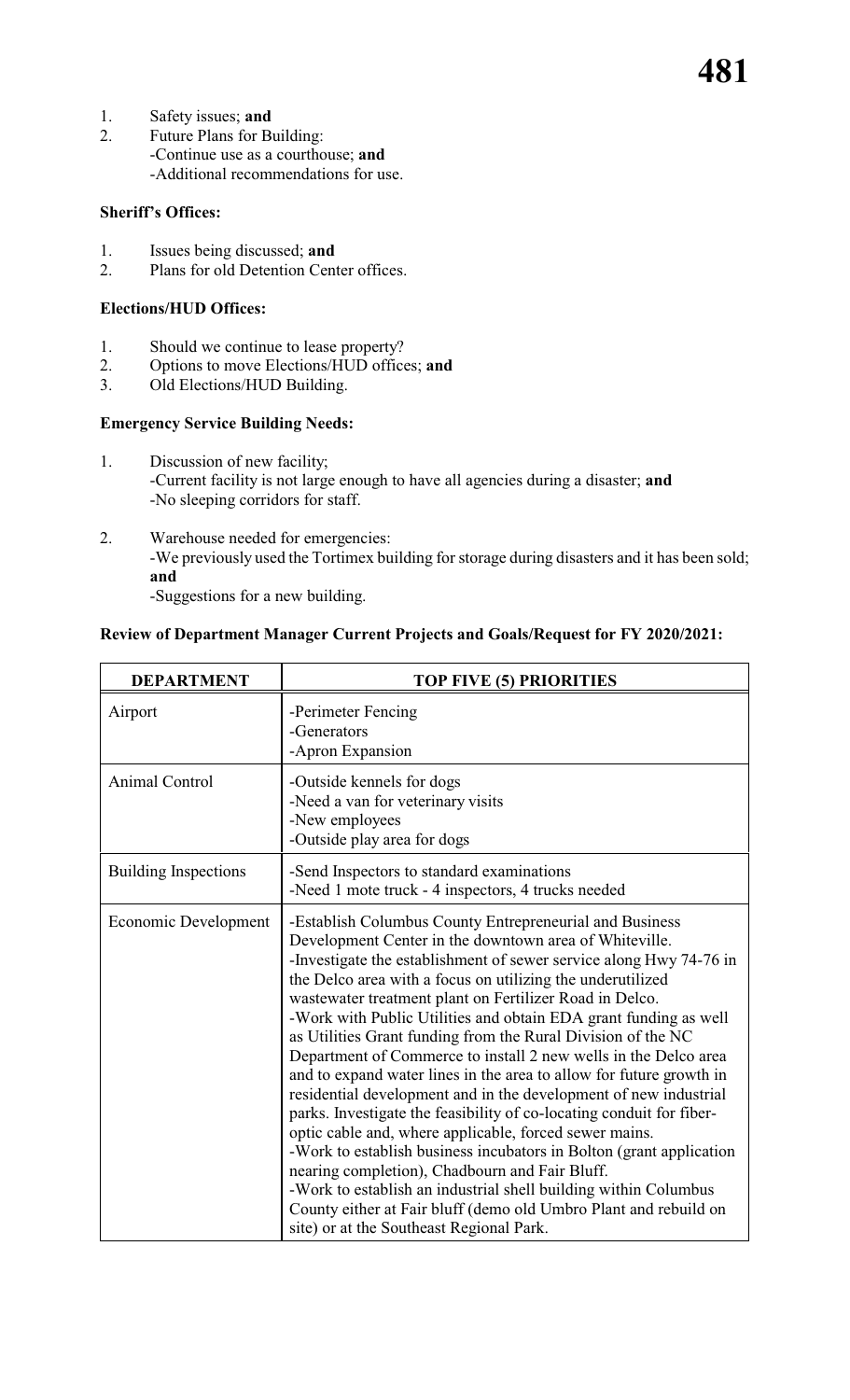- 1. Safety issues; **and**
- 2. Future Plans for Building: -Continue use as a courthouse; **and** -Additional recommendations for use.

### **Sheriff's Offices:**

- 1. Issues being discussed; **and**<br>2. Plans for old Detention Cent
- Plans for old Detention Center offices.

### **Elections/HUD Offices:**

- 1. Should we continue to lease property?<br>2. Options to move Elections/HUD office
- 2. Options to move Elections/HUD offices; **and**<br>3. Old Elections/HUD Building.
- Old Elections/HUD Building.

### **Emergency Service Building Needs:**

- 1. Discussion of new facility; -Current facility is not large enough to have all agencies during a disaster; **and** -No sleeping corridors for staff.
- 2. Warehouse needed for emergencies: -We previously used the Tortimex building for storage during disasters and it has been sold; **and**

-Suggestions for a new building.

### **Review of Department Manager Current Projects and Goals/Request for FY 2020/2021:**

| <b>DEPARTMENT</b>           | TOP FIVE (5) PRIORITIES                                                                                                                                                                                                                                                                                                                                                                                                                                                                                                                                                                                                                                                                                                                                                                                                                                                                                                                                                                                                                                                                                          |
|-----------------------------|------------------------------------------------------------------------------------------------------------------------------------------------------------------------------------------------------------------------------------------------------------------------------------------------------------------------------------------------------------------------------------------------------------------------------------------------------------------------------------------------------------------------------------------------------------------------------------------------------------------------------------------------------------------------------------------------------------------------------------------------------------------------------------------------------------------------------------------------------------------------------------------------------------------------------------------------------------------------------------------------------------------------------------------------------------------------------------------------------------------|
| Airport                     | -Perimeter Fencing<br>-Generators<br>-Apron Expansion                                                                                                                                                                                                                                                                                                                                                                                                                                                                                                                                                                                                                                                                                                                                                                                                                                                                                                                                                                                                                                                            |
| <b>Animal Control</b>       | -Outside kennels for dogs<br>-Need a van for veterinary visits<br>-New employees<br>-Outside play area for dogs                                                                                                                                                                                                                                                                                                                                                                                                                                                                                                                                                                                                                                                                                                                                                                                                                                                                                                                                                                                                  |
| <b>Building Inspections</b> | -Send Inspectors to standard examinations<br>-Need 1 mote truck - 4 inspectors, 4 trucks needed                                                                                                                                                                                                                                                                                                                                                                                                                                                                                                                                                                                                                                                                                                                                                                                                                                                                                                                                                                                                                  |
| Economic Development        | -Establish Columbus County Entrepreneurial and Business<br>Development Center in the downtown area of Whiteville.<br>-Investigate the establishment of sewer service along Hwy 74-76 in<br>the Delco area with a focus on utilizing the underutilized<br>wastewater treatment plant on Fertilizer Road in Delco.<br>-Work with Public Utilities and obtain EDA grant funding as well<br>as Utilities Grant funding from the Rural Division of the NC<br>Department of Commerce to install 2 new wells in the Delco area<br>and to expand water lines in the area to allow for future growth in<br>residential development and in the development of new industrial<br>parks. Investigate the feasibility of co-locating conduit for fiber-<br>optic cable and, where applicable, forced sewer mains.<br>-Work to establish business incubators in Bolton (grant application<br>nearing completion), Chadbourn and Fair Bluff.<br>-Work to establish an industrial shell building within Columbus<br>County either at Fair bluff (demo old Umbro Plant and rebuild on<br>site) or at the Southeast Regional Park. |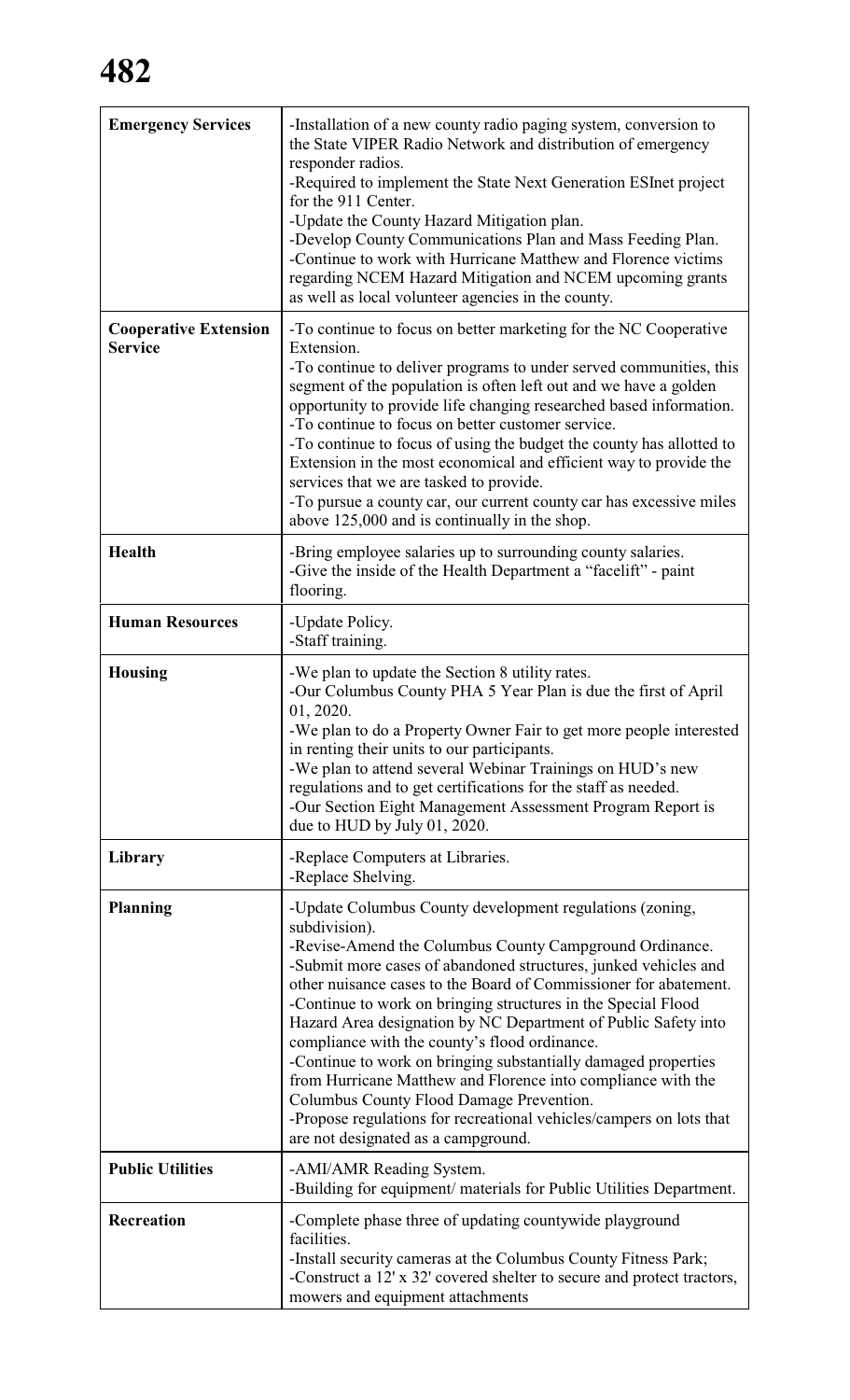| <b>Emergency Services</b>                      | -Installation of a new county radio paging system, conversion to<br>the State VIPER Radio Network and distribution of emergency<br>responder radios.<br>-Required to implement the State Next Generation ESInet project<br>for the 911 Center.<br>-Update the County Hazard Mitigation plan.<br>-Develop County Communications Plan and Mass Feeding Plan.<br>-Continue to work with Hurricane Matthew and Florence victims<br>regarding NCEM Hazard Mitigation and NCEM upcoming grants<br>as well as local volunteer agencies in the county.                                                                                                                                                                                                              |
|------------------------------------------------|-------------------------------------------------------------------------------------------------------------------------------------------------------------------------------------------------------------------------------------------------------------------------------------------------------------------------------------------------------------------------------------------------------------------------------------------------------------------------------------------------------------------------------------------------------------------------------------------------------------------------------------------------------------------------------------------------------------------------------------------------------------|
| <b>Cooperative Extension</b><br><b>Service</b> | -To continue to focus on better marketing for the NC Cooperative<br>Extension.<br>-To continue to deliver programs to under served communities, this<br>segment of the population is often left out and we have a golden<br>opportunity to provide life changing researched based information.<br>-To continue to focus on better customer service.<br>-To continue to focus of using the budget the county has allotted to<br>Extension in the most economical and efficient way to provide the<br>services that we are tasked to provide.<br>-To pursue a county car, our current county car has excessive miles<br>above 125,000 and is continually in the shop.                                                                                         |
| <b>Health</b>                                  | -Bring employee salaries up to surrounding county salaries.<br>-Give the inside of the Health Department a "facelift" - paint<br>flooring.                                                                                                                                                                                                                                                                                                                                                                                                                                                                                                                                                                                                                  |
| <b>Human Resources</b>                         | -Update Policy.<br>-Staff training.                                                                                                                                                                                                                                                                                                                                                                                                                                                                                                                                                                                                                                                                                                                         |
| <b>Housing</b>                                 | -We plan to update the Section 8 utility rates.<br>-Our Columbus County PHA 5 Year Plan is due the first of April<br>01, 2020.<br>-We plan to do a Property Owner Fair to get more people interested<br>in renting their units to our participants.<br>-We plan to attend several Webinar Trainings on HUD's new<br>regulations and to get certifications for the staff as needed.<br>-Our Section Eight Management Assessment Program Report is<br>due to HUD by July 01, 2020.                                                                                                                                                                                                                                                                            |
| Library                                        | -Replace Computers at Libraries.<br>-Replace Shelving.                                                                                                                                                                                                                                                                                                                                                                                                                                                                                                                                                                                                                                                                                                      |
| <b>Planning</b>                                | -Update Columbus County development regulations (zoning,<br>subdivision).<br>-Revise-Amend the Columbus County Campground Ordinance.<br>-Submit more cases of abandoned structures, junked vehicles and<br>other nuisance cases to the Board of Commissioner for abatement.<br>-Continue to work on bringing structures in the Special Flood<br>Hazard Area designation by NC Department of Public Safety into<br>compliance with the county's flood ordinance.<br>-Continue to work on bringing substantially damaged properties<br>from Hurricane Matthew and Florence into compliance with the<br>Columbus County Flood Damage Prevention.<br>-Propose regulations for recreational vehicles/campers on lots that<br>are not designated as a campground. |
| <b>Public Utilities</b>                        | -AMI/AMR Reading System.<br>-Building for equipment/ materials for Public Utilities Department.                                                                                                                                                                                                                                                                                                                                                                                                                                                                                                                                                                                                                                                             |
| Recreation                                     | -Complete phase three of updating countywide playground<br>facilities.<br>-Install security cameras at the Columbus County Fitness Park;<br>-Construct a 12' x 32' covered shelter to secure and protect tractors,<br>mowers and equipment attachments                                                                                                                                                                                                                                                                                                                                                                                                                                                                                                      |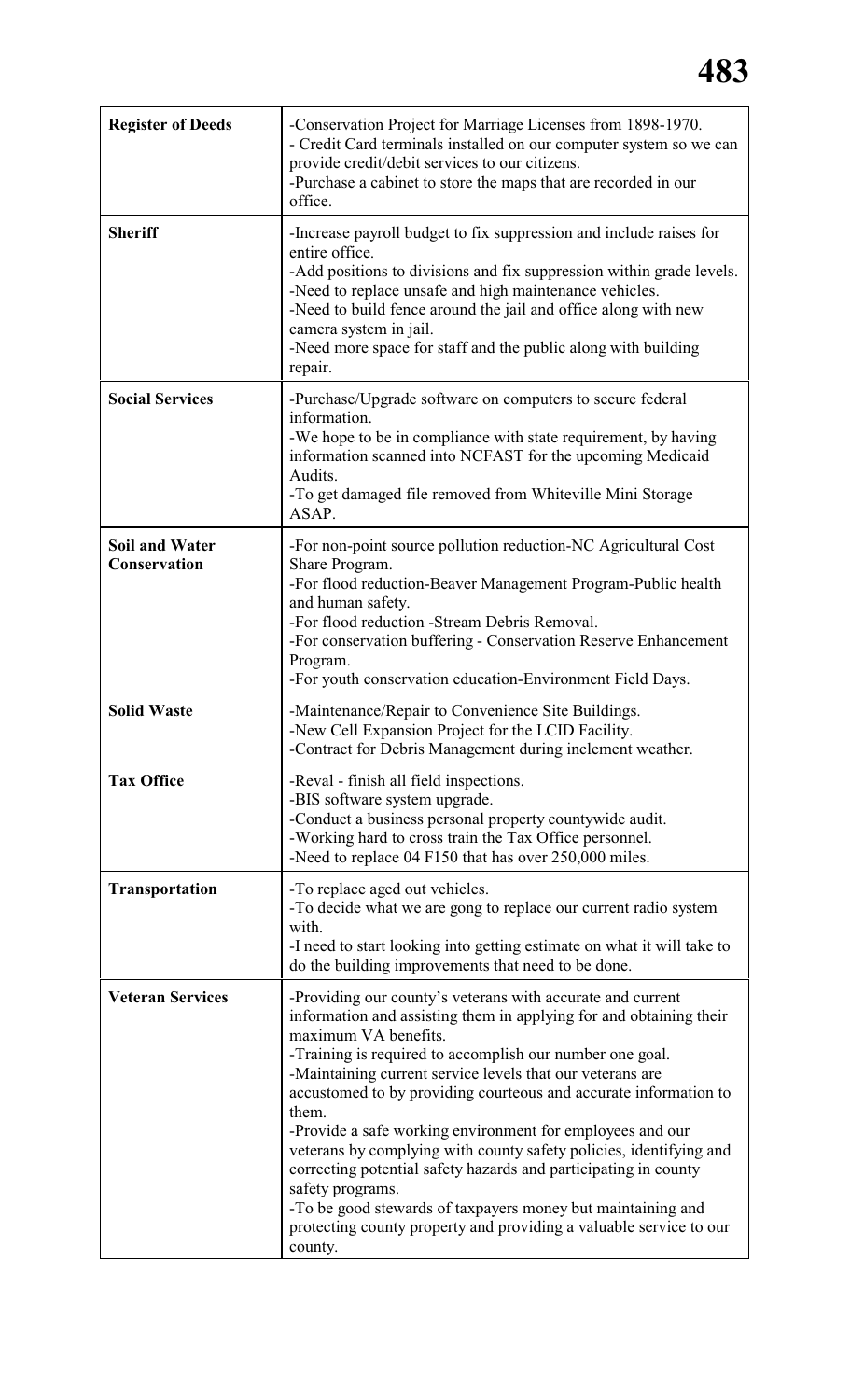## **483**

| <b>Register of Deeds</b>              | -Conservation Project for Marriage Licenses from 1898-1970.<br>- Credit Card terminals installed on our computer system so we can<br>provide credit/debit services to our citizens.<br>-Purchase a cabinet to store the maps that are recorded in our<br>office.                                                                                                                                                                                                                                                                                                                                                                                                                                                                         |
|---------------------------------------|------------------------------------------------------------------------------------------------------------------------------------------------------------------------------------------------------------------------------------------------------------------------------------------------------------------------------------------------------------------------------------------------------------------------------------------------------------------------------------------------------------------------------------------------------------------------------------------------------------------------------------------------------------------------------------------------------------------------------------------|
| <b>Sheriff</b>                        | -Increase payroll budget to fix suppression and include raises for<br>entire office.<br>-Add positions to divisions and fix suppression within grade levels.<br>-Need to replace unsafe and high maintenance vehicles.<br>-Need to build fence around the jail and office along with new<br>camera system in jail.<br>-Need more space for staff and the public along with building<br>repair.                                                                                                                                                                                                                                                                                                                                           |
| <b>Social Services</b>                | -Purchase/Upgrade software on computers to secure federal<br>information.<br>-We hope to be in compliance with state requirement, by having<br>information scanned into NCFAST for the upcoming Medicaid<br>Audits.<br>-To get damaged file removed from Whiteville Mini Storage<br>ASAP.                                                                                                                                                                                                                                                                                                                                                                                                                                                |
| <b>Soil and Water</b><br>Conservation | -For non-point source pollution reduction-NC Agricultural Cost<br>Share Program.<br>-For flood reduction-Beaver Management Program-Public health<br>and human safety.<br>-For flood reduction -Stream Debris Removal.<br>-For conservation buffering - Conservation Reserve Enhancement<br>Program.<br>-For youth conservation education-Environment Field Days.                                                                                                                                                                                                                                                                                                                                                                         |
| <b>Solid Waste</b>                    | -Maintenance/Repair to Convenience Site Buildings.<br>-New Cell Expansion Project for the LCID Facility.<br>-Contract for Debris Management during inclement weather.                                                                                                                                                                                                                                                                                                                                                                                                                                                                                                                                                                    |
| <b>Tax Office</b>                     | -Reval - finish all field inspections.<br>-BIS software system upgrade.<br>-Conduct a business personal property countywide audit.<br>-Working hard to cross train the Tax Office personnel.<br>-Need to replace 04 F150 that has over 250,000 miles.                                                                                                                                                                                                                                                                                                                                                                                                                                                                                    |
| <b>Transportation</b>                 | -To replace aged out vehicles.<br>-To decide what we are gong to replace our current radio system<br>with.<br>-I need to start looking into getting estimate on what it will take to<br>do the building improvements that need to be done.                                                                                                                                                                                                                                                                                                                                                                                                                                                                                               |
| <b>Veteran Services</b>               | -Providing our county's veterans with accurate and current<br>information and assisting them in applying for and obtaining their<br>maximum VA benefits.<br>-Training is required to accomplish our number one goal.<br>-Maintaining current service levels that our veterans are<br>accustomed to by providing courteous and accurate information to<br>them.<br>-Provide a safe working environment for employees and our<br>veterans by complying with county safety policies, identifying and<br>correcting potential safety hazards and participating in county<br>safety programs.<br>-To be good stewards of taxpayers money but maintaining and<br>protecting county property and providing a valuable service to our<br>county. |